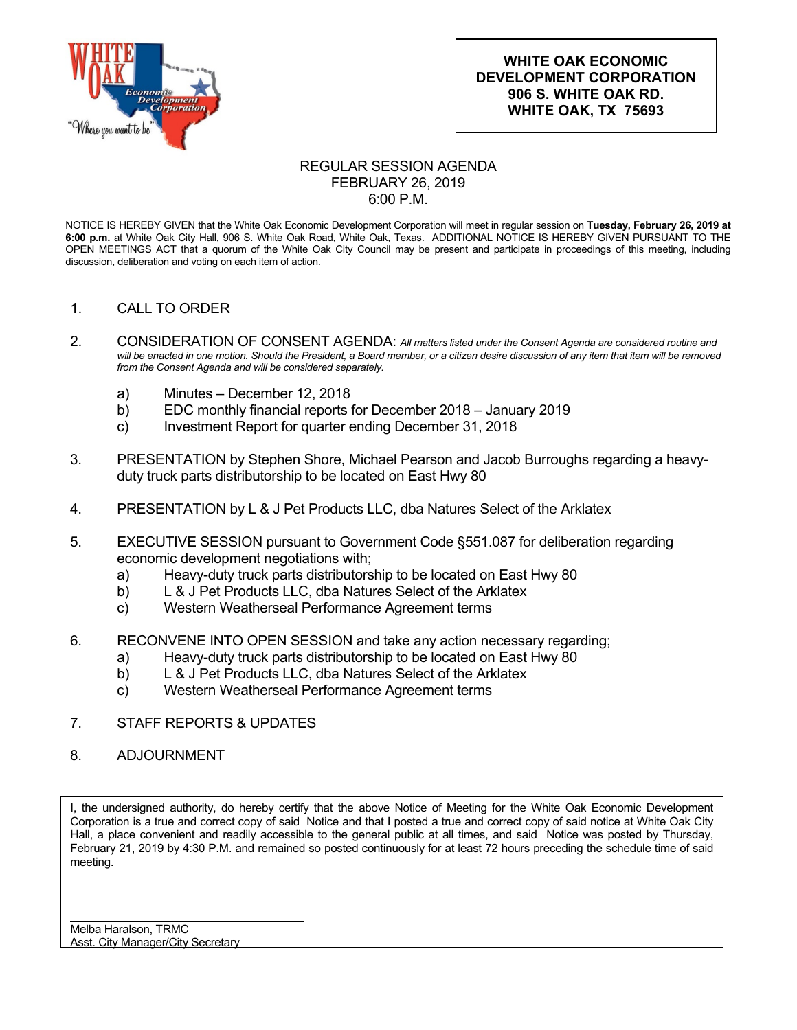

## REGULAR SESSION AGENDA FEBRUARY 26, 2019 6:00 P.M.

NOTICE IS HEREBY GIVEN that the White Oak Economic Development Corporation will meet in regular session on **Tuesday, February 26, 2019 at 6:00 p.m.** at White Oak City Hall, 906 S. White Oak Road, White Oak, Texas. ADDITIONAL NOTICE IS HEREBY GIVEN PURSUANT TO THE OPEN MEETINGS ACT that a quorum of the White Oak City Council may be present and participate in proceedings of this meeting, including discussion, deliberation and voting on each item of action.

- 1. CALL TO ORDER
- 2. CONSIDERATION OF CONSENT AGENDA: *All matters listed under the Consent Agenda are considered routine and*  will be enacted in one motion. Should the President, a Board member, or a citizen desire discussion of any item that item will be removed *from the Consent Agenda and will be considered separately.*
	- a) Minutes December 12, 2018
	- b) EDC monthly financial reports for December 2018 January 2019
	- c) Investment Report for quarter ending December 31, 2018
- 3. PRESENTATION by Stephen Shore, Michael Pearson and Jacob Burroughs regarding a heavyduty truck parts distributorship to be located on East Hwy 80
- 4. PRESENTATION by L & J Pet Products LLC, dba Natures Select of the Arklatex
- 5. EXECUTIVE SESSION pursuant to Government Code §551.087 for deliberation regarding economic development negotiations with;
	- a) Heavy-duty truck parts distributorship to be located on East Hwy 80
	- b) L & J Pet Products LLC, dba Natures Select of the Arklatex
	- c) Western Weatherseal Performance Agreement terms
- 6. RECONVENE INTO OPEN SESSION and take any action necessary regarding;
	- a) Heavy-duty truck parts distributorship to be located on East Hwy 80
	- b) L & J Pet Products LLC, dba Natures Select of the Arklatex
	- c) Western Weatherseal Performance Agreement terms
- 7. STAFF REPORTS & UPDATES
- 8. ADJOURNMENT

I, the undersigned authority, do hereby certify that the above Notice of Meeting for the White Oak Economic Development Corporation is a true and correct copy of said Notice and that I posted a true and correct copy of said notice at White Oak City Hall, a place convenient and readily accessible to the general public at all times, and said Notice was posted by Thursday, February 21, 2019 by 4:30 P.M. and remained so posted continuously for at least 72 hours preceding the schedule time of said meeting.

Melba Haralson, TRMC Asst. City Manager/City Secretary